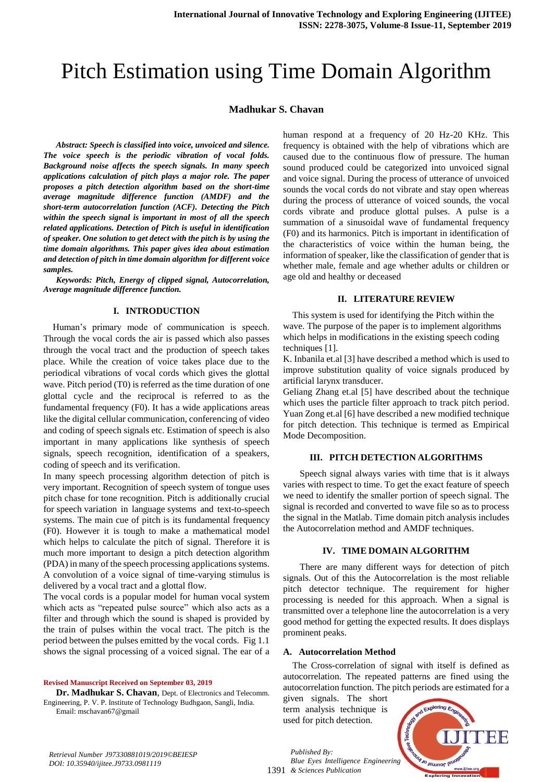# Pitch Estimation using Time Domain Algorithm

## **Madhukar S. Chavan**

*Abstract: Speech is classified into voice, unvoiced and silence. The voice speech is the periodic vibration of vocal folds. Background noise affects the speech signals. In many speech applications calculation of pitch plays a major role. The paper proposes a pitch detection algorithm based on the short-time average magnitude difference function (AMDF) and the short-term autocorrelation function (ACF). Detecting the Pitch within the speech signal is important in most of all the speech related applications. Detection of Pitch is useful in identification of speaker. One solution to get detect with the pitch is by using the time domain algorithms. This paper gives idea about estimation and detection of pitch in time domain algorithm for different voice samples.*

*Keywords: Pitch, Energy of clipped signal, Autocorrelation, Average magnitude difference function.*

#### **I. INTRODUCTION**

Human's primary mode of communication is speech. Through the vocal cords the air is passed which also passes through the vocal tract and the production of speech takes place. While the creation of voice takes place due to the periodical vibrations of vocal cords which gives the glottal wave. Pitch period (T0) is referred as the time duration of one glottal cycle and the reciprocal is referred to as the fundamental frequency (F0). It has a wide applications areas like the digital cellular communication, conferencing of video and coding of speech signals etc. Estimation of speech is also important in many applications like synthesis of speech signals, speech recognition, identification of a speakers, coding of speech and its verification.

In many speech processing algorithm detection of pitch is very important. Recognition of speech system of tongue uses pitch chase for tone recognition. Pitch is additionally crucial for speech variation in language systems and text-to-speech systems. The main cue of pitch is its fundamental frequency (F0). However it is tough to make a mathematical model which helps to calculate the pitch of signal. Therefore it is much more important to design a pitch detection algorithm (PDA) in many of the speech processing applications systems. A convolution of a voice signal of time-varying stimulus is delivered by a vocal tract and a glottal flow.

The vocal cords is a popular model for human vocal system which acts as "repeated pulse source" which also acts as a filter and through which the sound is shaped is provided by the train of pulses within the vocal tract. The pitch is the period between the pulses emitted by the vocal cords. Fig 1.1 shows the signal processing of a voiced signal. The ear of a

**Revised Manuscript Received on September 03, 2019**

**Dr. Madhukar S. Chavan**, Dept. of Electronics and Telecomm. Engineering, P. V. P. Institute of Technology Budhgaon, Sangli, India. Email: mschavan67@gmail

human respond at a frequency of 20 Hz-20 KHz. This frequency is obtained with the help of vibrations which are caused due to the continuous flow of pressure. The human sound produced could be categorized into unvoiced signal and voice signal. During the process of utterance of unvoiced sounds the vocal cords do not vibrate and stay open whereas during the process of utterance of voiced sounds, the vocal cords vibrate and produce glottal pulses. A pulse is a summation of a sinusoidal wave of fundamental frequency (F0) and its harmonics. Pitch is important in identification of the characteristics of voice within the human being, the information of speaker, like the classification of gender that is whether male, female and age whether adults or children or age old and healthy or deceased

#### **II. LITERATURE REVIEW**

This system is used for identifying the Pitch within the wave. The purpose of the paper is to implement algorithms which helps in modifications in the existing speech coding techniques [1].

K. Inbanila et.al [3] have described a method which is used to improve substitution quality of voice signals produced by artificial larynx transducer.

Geliang Zhang et.al [5] have described about the technique which uses the particle filter approach to track pitch period. Yuan Zong et.al [6] have described a new modified technique for pitch detection. This technique is termed as Empirical Mode Decomposition.

#### **III. PITCH DETECTION ALGORITHMS**

Speech signal always varies with time that is it always varies with respect to time. To get the exact feature of speech we need to identify the smaller portion of speech signal. The signal is recorded and converted to wave file so as to process the signal in the Matlab. Time domain pitch analysis includes the Autocorrelation method and AMDF techniques.

#### **IV. TIME DOMAIN ALGORITHM**

There are many different ways for detection of pitch signals. Out of this the Autocorrelation is the most reliable pitch detector technique. The requirement for higher processing is needed for this approach. When a signal is transmitted over a telephone line the autocorrelation is a very good method for getting the expected results. It does displays prominent peaks.

#### **A. Autocorrelation Method**

The Cross-correlation of signal with itself is defined as autocorrelation. The repeated patterns are fined using the autocorrelation function. The pitch periods are estimated for a

given signals. The short term analysis technique is used for pitch detection.



*Retrieval Number J97330881019/2019©BEIESP DOI: 10.35940/ijitee.J9733.0981119*

1391 *& Sciences Publication Blue Eyes Intelligence Engineering*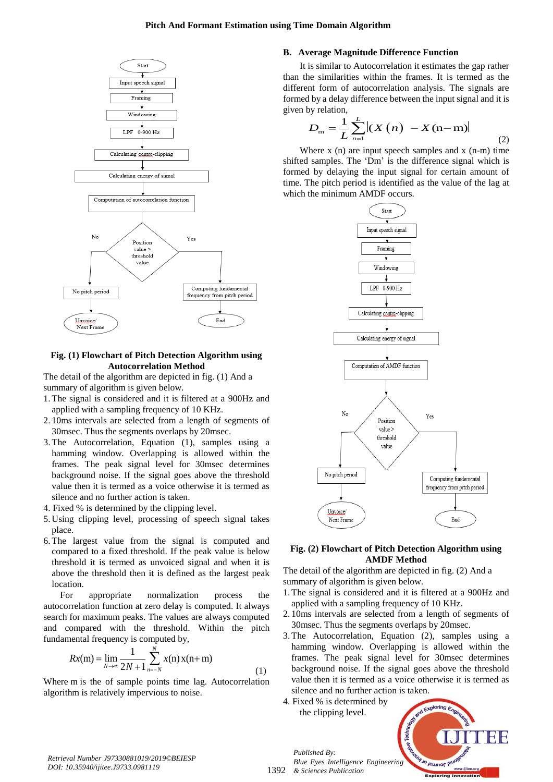

## **Fig. (1) Flowchart of Pitch Detection Algorithm using Autocorrelation Method**

The detail of the algorithm are depicted in fig. (1) And a summary of algorithm is given below.

- 1.The signal is considered and it is filtered at a 900Hz and applied with a sampling frequency of 10 KHz.
- 2. 10ms intervals are selected from a length of segments of 30msec. Thus the segments overlaps by 20msec.
- 3.The Autocorrelation, Equation (1), samples using a hamming window. Overlapping is allowed within the frames. The peak signal level for 30msec determines background noise. If the signal goes above the threshold value then it is termed as a voice otherwise it is termed as silence and no further action is taken.
- 4. Fixed % is determined by the clipping level.
- 5. Using clipping level, processing of speech signal takes place.
- 6.The largest value from the signal is computed and compared to a fixed threshold. If the peak value is below threshold it is termed as unvoiced signal and when it is above the threshold then it is defined as the largest peak location.

For appropriate normalization process the autocorrelation function at zero delay is computed. It always search for maximum peaks. The values are always computed and compared with the threshold. Within the pitch fundamental frequency is computed by,

$$
Rx(m) = \lim_{N \to \infty} \frac{1}{2N + 1} \sum_{n = -N}^{N} x(n) x(n + m)
$$
 (1)

Where m is the of sample points time lag. Autocorrelation algorithm is relatively impervious to noise.

## **B. Average Magnitude Difference Function**

It is similar to Autocorrelation it estimates the gap rather than the similarities within the frames. It is termed as the different form of autocorrelation analysis. The signals are formed by a delay difference between the input signal and it is given by relation,

by relation,  

$$
D_{\rm m} = \frac{1}{L} \sum_{n=1}^{L} |(X(n) - X(n-m))|
$$
(2)

Where  $x(n)$  are input speech samples and  $x(n-m)$  time shifted samples. The 'Dm' is the difference signal which is formed by delaying the input signal for certain amount of time. The pitch period is identified as the value of the lag at which the minimum AMDF occurs.



#### **Fig. (2) Flowchart of Pitch Detection Algorithm using AMDF Method**

The detail of the algorithm are depicted in fig. (2) And a summary of algorithm is given below.

- 1.The signal is considered and it is filtered at a 900Hz and applied with a sampling frequency of 10 KHz.
- 2. 10ms intervals are selected from a length of segments of 30msec. Thus the segments overlaps by 20msec.
- 3.The Autocorrelation, Equation (2), samples using a hamming window. Overlapping is allowed within the frames. The peak signal level for 30msec determines background noise. If the signal goes above the threshold value then it is termed as a voice otherwise it is termed as silence and no further action is taken.
- 4. Fixed % is determined by the clipping level.



1392 *& Sciences Publication Blue Eyes Intelligence Engineering*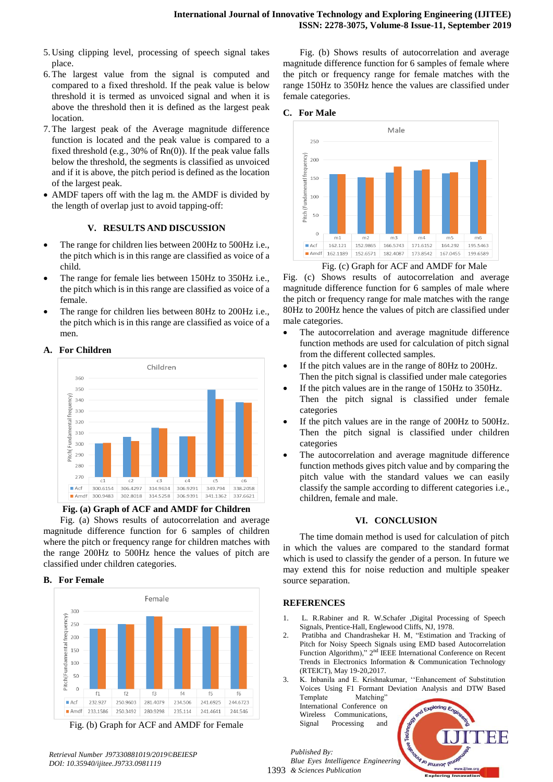- 5. Using clipping level, processing of speech signal takes place.
- 6.The largest value from the signal is computed and compared to a fixed threshold. If the peak value is below threshold it is termed as unvoiced signal and when it is above the threshold then it is defined as the largest peak location.
- 7.The largest peak of the Average magnitude difference function is located and the peak value is compared to a fixed threshold (e.g., 30% of Rn(0)). If the peak value falls below the threshold, the segments is classified as unvoiced and if it is above, the pitch period is defined as the location of the largest peak.
- AMDF tapers off with the lag m. the AMDF is divided by the length of overlap just to avoid tapping-off:

# **V. RESULTS AND DISCUSSION**

- The range for children lies between 200Hz to 500Hz i.e., the pitch which is in this range are classified as voice of a child.
- The range for female lies between 150Hz to 350Hz i.e., the pitch which is in this range are classified as voice of a female.
- The range for children lies between 80Hz to 200Hz i.e., the pitch which is in this range are classified as voice of a men.

# **A. For Children**



**Fig. (a) Graph of ACF and AMDF for Children**

Fig. (a) Shows results of autocorrelation and average magnitude difference function for 6 samples of children where the pitch or frequency range for children matches with the range 200Hz to 500Hz hence the values of pitch are classified under children categories.

#### **B. For Female**



Fig. (b) Graph for ACF and AMDF for Female

Fig. (b) Shows results of autocorrelation and average magnitude difference function for 6 samples of female where the pitch or frequency range for female matches with the range 150Hz to 350Hz hence the values are classified under female categories.

#### **C. For Male**



Fig. (c) Graph for ACF and AMDF for Male

Fig. (c) Shows results of autocorrelation and average magnitude difference function for 6 samples of male where the pitch or frequency range for male matches with the range 80Hz to 200Hz hence the values of pitch are classified under male categories.

- The autocorrelation and average magnitude difference function methods are used for calculation of pitch signal from the different collected samples.
- If the pitch values are in the range of 80Hz to 200Hz. Then the pitch signal is classified under male categories
- If the pitch values are in the range of 150Hz to 350Hz. Then the pitch signal is classified under female categories
- If the pitch values are in the range of 200Hz to 500Hz. Then the pitch signal is classified under children categories
- The autocorrelation and average magnitude difference function methods gives pitch value and by comparing the pitch value with the standard values we can easily classify the sample according to different categories i.e., children, female and male.

# **VI. CONCLUSION**

The time domain method is used for calculation of pitch in which the values are compared to the standard format which is used to classify the gender of a person. In future we may extend this for noise reduction and multiple speaker source separation.

#### **REFERENCES**

- 1. L. R.Rabiner and R. W.Schafer ,Digital Processing of Speech Signals, Prentice-Hall, Englewood Cliffs, NJ, 1978.
- 2. Pratibha and Chandrashekar H. M, "Estimation and Tracking of Pitch for Noisy Speech Signals using EMD based Autocorrelation Function Algorithm)," 2<sup>nd</sup> IEEE International Conference on Recent Trends in Electronics Information & Communication Technology (RTEICT), May 19-20,2017.
- 3. K. Inbanila and E. Krishnakumar, ''Enhancement of Substitution Voices Using F1 Formant Deviation Analysis and DTW Based Template Matching'

International Conference on Wireless Communications, Signal Processing and



*Retrieval Number J97330881019/2019©BEIESP DOI: 10.35940/ijitee.J9733.0981119*

1393 *& Sciences Publication Blue Eyes Intelligence Engineering*